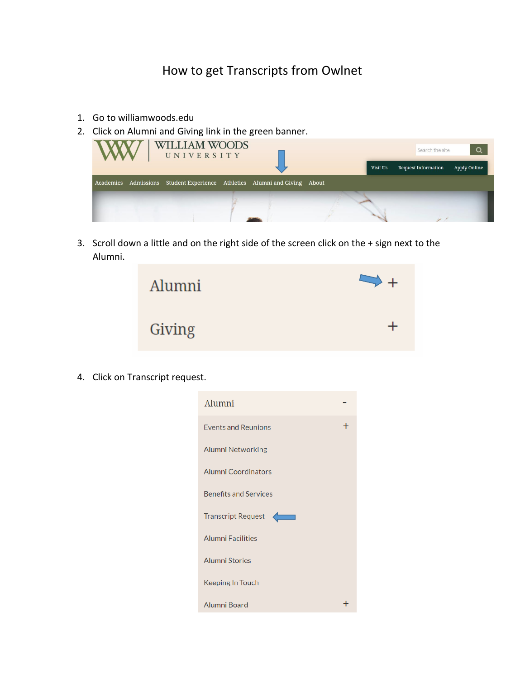## How to get Transcripts from Owlnet

- 1. Go to williamwoods.edu
- 2. Click on Alumni and Giving link in the green banner.



3. Scroll down a little and on the right side of the screen click on the + sign next to the Alumni.



4. Click on Transcript request.